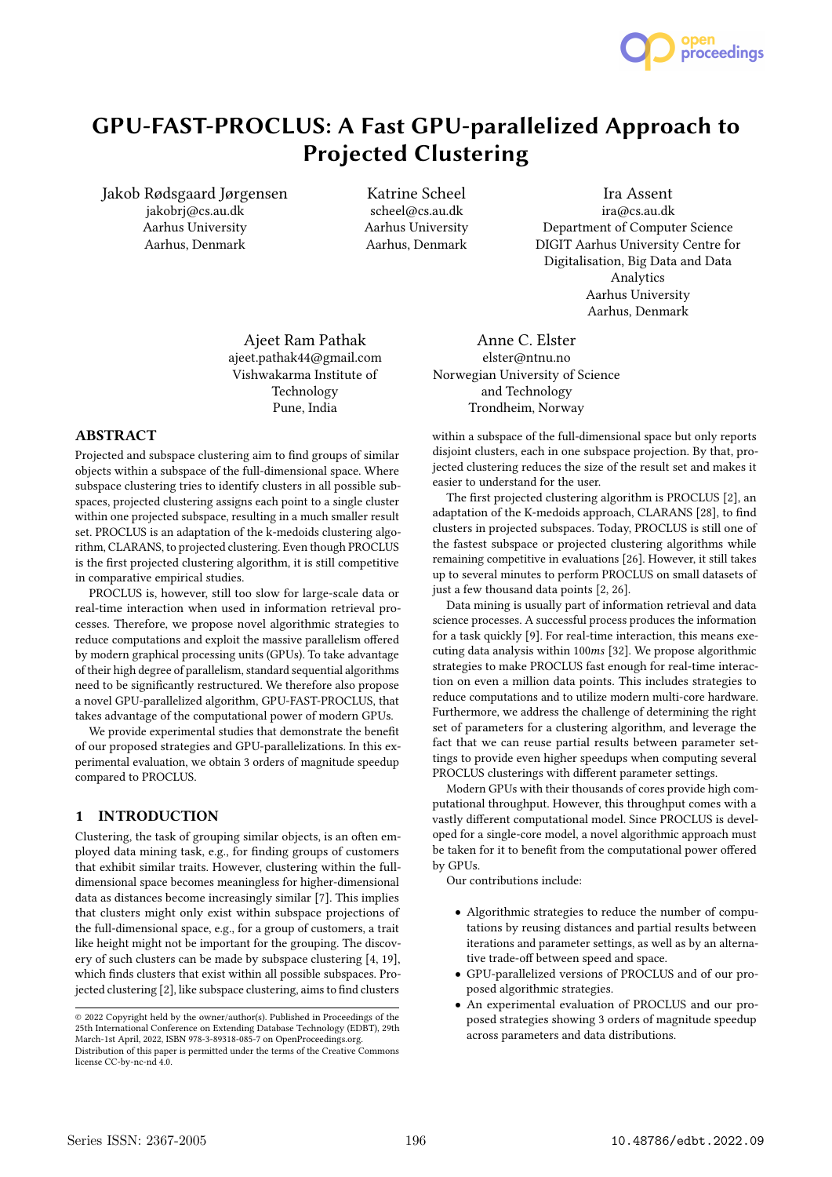

# GPU-FAST-PROCLUS: A Fast GPU-parallelized Approach to Projected Clustering

Jakob Rødsgaard Jørgensen jakobrj@cs.au.dk Aarhus University Aarhus, Denmark

Katrine Scheel scheel@cs.au.dk Aarhus University Aarhus, Denmark

Ira Assent ira@cs.au.dk Department of Computer Science DIGIT Aarhus University Centre for Digitalisation, Big Data and Data Analytics Aarhus University Aarhus, Denmark

Ajeet Ram Pathak ajeet.pathak44@gmail.com Vishwakarma Institute of Technology Pune, India

## ABSTRACT

Projected and subspace clustering aim to find groups of similar objects within a subspace of the full-dimensional space. Where subspace clustering tries to identify clusters in all possible subspaces, projected clustering assigns each point to a single cluster within one projected subspace, resulting in a much smaller result set. PROCLUS is an adaptation of the k-medoids clustering algorithm, CLARANS, to projected clustering. Even though PROCLUS is the first projected clustering algorithm, it is still competitive in comparative empirical studies.

PROCLUS is, however, still too slow for large-scale data or real-time interaction when used in information retrieval processes. Therefore, we propose novel algorithmic strategies to reduce computations and exploit the massive parallelism offered by modern graphical processing units (GPUs). To take advantage of their high degree of parallelism, standard sequential algorithms need to be significantly restructured. We therefore also propose a novel GPU-parallelized algorithm, GPU-FAST-PROCLUS, that takes advantage of the computational power of modern GPUs.

We provide experimental studies that demonstrate the benefit of our proposed strategies and GPU-parallelizations. In this experimental evaluation, we obtain 3 orders of magnitude speedup compared to PROCLUS.

## 1 INTRODUCTION

Clustering, the task of grouping similar objects, is an often employed data mining task, e.g., for finding groups of customers that exhibit similar traits. However, clustering within the fulldimensional space becomes meaningless for higher-dimensional data as distances become increasingly similar [7]. This implies that clusters might only exist within subspace projections of the full-dimensional space, e.g., for a group of customers, a trait like height might not be important for the grouping. The discovery of such clusters can be made by subspace clustering [4, 19], which finds clusters that exist within all possible subspaces. Projected clustering [2], like subspace clustering, aims to find clusters

Anne C. Elster elster@ntnu.no Norwegian University of Science and Technology Trondheim, Norway

within a subspace of the full-dimensional space but only reports disjoint clusters, each in one subspace projection. By that, projected clustering reduces the size of the result set and makes it easier to understand for the user.

The first projected clustering algorithm is PROCLUS [2], an adaptation of the K-medoids approach, CLARANS [28], to find clusters in projected subspaces. Today, PROCLUS is still one of the fastest subspace or projected clustering algorithms while remaining competitive in evaluations [26]. However, it still takes up to several minutes to perform PROCLUS on small datasets of just a few thousand data points [2, 26].

Data mining is usually part of information retrieval and data science processes. A successful process produces the information for a task quickly [9]. For real-time interaction, this means executing data analysis within 100ms [32]. We propose algorithmic strategies to make PROCLUS fast enough for real-time interaction on even a million data points. This includes strategies to reduce computations and to utilize modern multi-core hardware. Furthermore, we address the challenge of determining the right set of parameters for a clustering algorithm, and leverage the fact that we can reuse partial results between parameter settings to provide even higher speedups when computing several PROCLUS clusterings with different parameter settings.

Modern GPUs with their thousands of cores provide high computational throughput. However, this throughput comes with a vastly different computational model. Since PROCLUS is developed for a single-core model, a novel algorithmic approach must be taken for it to benefit from the computational power offered by GPUs.

Our contributions include:

- Algorithmic strategies to reduce the number of computations by reusing distances and partial results between iterations and parameter settings, as well as by an alternative trade-off between speed and space.
- GPU-parallelized versions of PROCLUS and of our proposed algorithmic strategies.
- An experimental evaluation of PROCLUS and our proposed strategies showing 3 orders of magnitude speedup across parameters and data distributions.

<sup>©</sup> 2022 Copyright held by the owner/author(s). Published in Proceedings of the 25th International Conference on Extending Database Technology (EDBT), 29th March-1st April, 2022, ISBN 978-3-89318-085-7 on OpenProceedings.org. Distribution of this paper is permitted under the terms of the Creative Commons license CC-by-nc-nd 4.0.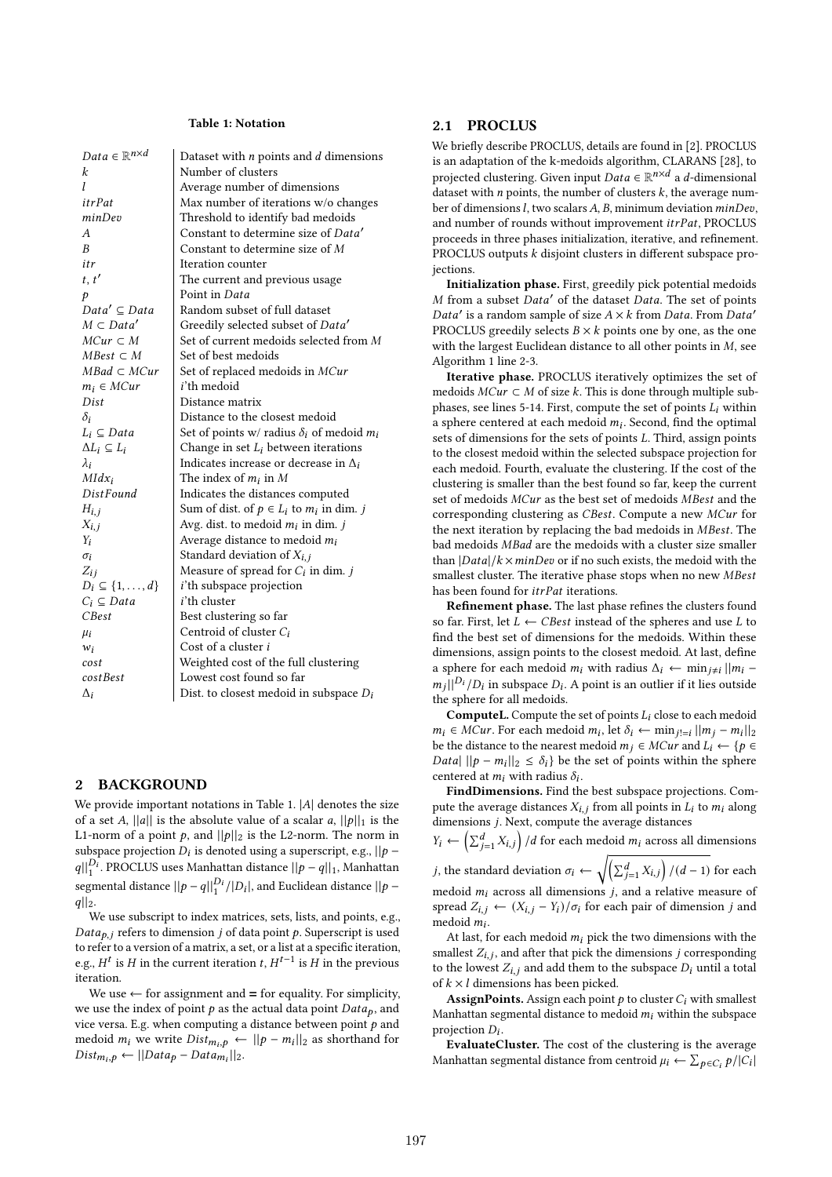#### Table 1: Notation

| $Data \in \mathbb{R}^{n \times d}$ | Dataset with $n$ points and $d$ dimensions         |
|------------------------------------|----------------------------------------------------|
| k                                  | Number of clusters                                 |
| 1                                  | Average number of dimensions                       |
| <i>itrPat</i>                      | Max number of iterations w/o changes               |
| minDev                             | Threshold to identify bad medoids                  |
| A                                  | Constant to determine size of Data'                |
| $\boldsymbol{B}$                   | Constant to determine size of M                    |
| itr                                | Iteration counter                                  |
| t, t'                              | The current and previous usage                     |
| p                                  | Point in Data                                      |
| $Data' \subseteq Data$             | Random subset of full dataset                      |
| $M \subset Data'$                  | Greedily selected subset of Data'                  |
| $MCur \subset M$                   | Set of current medoids selected from M             |
| $MBest \subset M$                  | Set of best medoids                                |
| $MBad \subset MCur$                | Set of replaced medoids in MCur                    |
| $m_i \in MCur$                     | i'th medoid                                        |
| Dist                               | Distance matrix                                    |
| $\delta_i$                         | Distance to the closest medoid                     |
| $L_i \subseteq Data$               | Set of points w/ radius $\delta_i$ of medoid $m_i$ |
| $\Delta L_i \subseteq L_i$         | Change in set $L_i$ between iterations             |
| $\lambda_i$                        | Indicates increase or decrease in $\Delta_i$       |
| $Mldx_i$                           | The index of $m_i$ in M                            |
| <b>DistFound</b>                   | Indicates the distances computed                   |
| $H_{i,j}$                          | Sum of dist. of $p \in L_i$ to $m_i$ in dim. j     |
| $X_{i,j}$                          | Avg. dist. to medoid $m_i$ in dim. j               |
| Yi                                 | Average distance to medoid $m_i$                   |
| $\sigma_i$                         | Standard deviation of $X_{i,j}$                    |
| $Z_{ij}$                           | Measure of spread for $C_i$ in dim. j              |
| $D_i \subseteq \{1,\ldots,d\}$     | <i>i</i> 'th subspace projection                   |
| $C_i \subseteq Data$               | <i>i'</i> th cluster                               |
| CBest                              | Best clustering so far                             |
| $\mu_i$                            | Centroid of cluster $C_i$                          |
| $w_i$                              | Cost of a cluster <i>i</i>                         |
| cost                               | Weighted cost of the full clustering               |
| cost Best                          | Lowest cost found so far                           |
| $\Delta_i$                         | Dist. to closest medoid in subspace $D_i$          |

#### 2 BACKGROUND

We provide important notations in Table 1.  $|A|$  denotes the size of a set A, ||a|| is the absolute value of a scalar a,  $||p||_1$  is the L1-norm of a point  $p$ , and  $||p||_2$  is the L2-norm. The norm in subspace projection  $\overline{D}_i$  is denoted using a superscript, e.g.,  $||p - p||$  $||q||_1^{D_1}$ . PROCLUS uses Manhattan distance  $||p-q||_1$ , Manhattan segmental distance  $||p - q||_1^{D_i}/|D_i|$ , and Euclidean distance  $||p$  $q||_2$ .

We use subscript to index matrices, sets, lists, and points, e.g.,  $Data_{p,i}$  refers to dimension *j* of data point *p*. Superscript is used to refer to a version of a matrix, a set, or a list at a specific iteration, e.g.,  $H^t$  is H in the current iteration t,  $H^{t-1}$  is H in the previous iteration.

We use  $\leftarrow$  for assignment and  $=$  for equality. For simplicity, we use the index of point  $p$  as the actual data point  $Data_p$ , and vice versa. E.g. when computing a distance between point  $p$  and medoid  $m_i$  we write  $Dist_{m_i, p} \leftarrow ||p - m_i||_2$  as shorthand for  $Dist_{m_i, p} \leftarrow || Data_p - Data_{m_i} ||_2.$ 

### 2.1 PROCLUS

We briefly describe PROCLUS, details are found in [2]. PROCLUS is an adaptation of the k-medoids algorithm, CLARANS [28], to projected clustering. Given input  $Data \in \mathbb{R}^{n \times d}$  a d-dimensional dataset with *n* points, the number of clusters  $k$ , the average number of dimensions  $l$ , two scalars  $A$ ,  $B$ , minimum deviation  $minDev$ , and number of rounds without improvement  $itrPat$ , PROCLUS proceeds in three phases initialization, iterative, and refinement. PROCLUS outputs  $k$  disjoint clusters in different subspace projections.

Initialization phase. First, greedily pick potential medoids M from a subset Data' of the dataset Data. The set of points Data' is a random sample of size  $A \times k$  from Data. From Data' PROCLUS greedily selects  $B \times k$  points one by one, as the one with the largest Euclidean distance to all other points in  $M$ , see Algorithm 1 line 2-3.

Iterative phase. PROCLUS iteratively optimizes the set of medoids  $MCur \subset M$  of size k. This is done through multiple subphases, see lines 5-14. First, compute the set of points  $L_i$  within a sphere centered at each medoid  $m_i$ . Second, find the optimal sets of dimensions for the sets of points  $L$ . Third, assign points to the closest medoid within the selected subspace projection for each medoid. Fourth, evaluate the clustering. If the cost of the clustering is smaller than the best found so far, keep the current set of medoids MCur as the best set of medoids MBest and the corresponding clustering as *CBest*. Compute a new *MCur* for the next iteration by replacing the bad medoids in *MBest*. The bad medoids MBad are the medoids with a cluster size smaller than  $|Data|/k \times minDev$  or if no such exists, the medoid with the smallest cluster. The iterative phase stops when no new MBest has been found for *itrPat* iterations.

Refinement phase. The last phase refines the clusters found so far. First, let  $L \leftarrow CBest$  instead of the spheres and use  $L$  to find the best set of dimensions for the medoids. Within these dimensions, assign points to the closest medoid. At last, define a sphere for each medoid  $m_i$  with radius  $\Delta_i \leftarrow \min_{j \neq i} ||m_i$  $m_i$ || $^{D_i}/D_i$  in subspace  $D_i$ . A point is an outlier if it lies outside the sphere for all medoids.

**ComputeL.** Compute the set of points  $L_i$  close to each medoid  $m_i \in \hat{M}$ Cur. For each medoid  $m_i$ , let  $\delta_i \leftarrow \min_{j \in i} ||m_j - m_i||_2$ be the distance to the nearest medoid  $m_j \in MCur$  and  $L_i \leftarrow \{p \in$ Data|  $||p - m_i||_2 \le \delta_i$  be the set of points within the sphere centered at  $m_i$  with radius  $\delta_i$ .

FindDimensions. Find the best subspace projections. Compute the average distances  $X_{i,j}$  from all points in  $L_i$  to  $m_i$  along dimensions  $j$ . Next, compute the average distances

 $Y_i \leftarrow \left(\sum_{j=1}^d X_{i,j}\right) / d$  for each medoid  $m_i$  across all dimensions *j*, the standard deviation  $\sigma_i \leftarrow \sqrt{\left(\sum_{j=1}^d X_{i,j}\right)/(d-1)}$  for each medoid  $m_i$  across all dimensions  $j$ , and a relative measure of spread  $Z_{i,j} \leftarrow (X_{i,j} - Y_i)/\sigma_i$  for each pair of dimension j and medoid  $m_i$ .

At last, for each medoid  $m_i$  pick the two dimensions with the smallest  $Z_{i,j}$ , and after that pick the dimensions  $j$  corresponding to the lowest  $Z_{i,j}$  and add them to the subspace  $D_i$  until a total of  $k \times l$  dimensions has been picked.

**AssignPoints.** Assign each point  $p$  to cluster  $C_i$  with smallest Manhattan segmental distance to medoid  $m_i$  within the subspace projection  $D_i$ .

EvaluateCluster. The cost of the clustering is the average Manhattan segmental distance from centroid  $\mu_i \leftarrow \sum_{p \in C_i} p/|C_i|$ |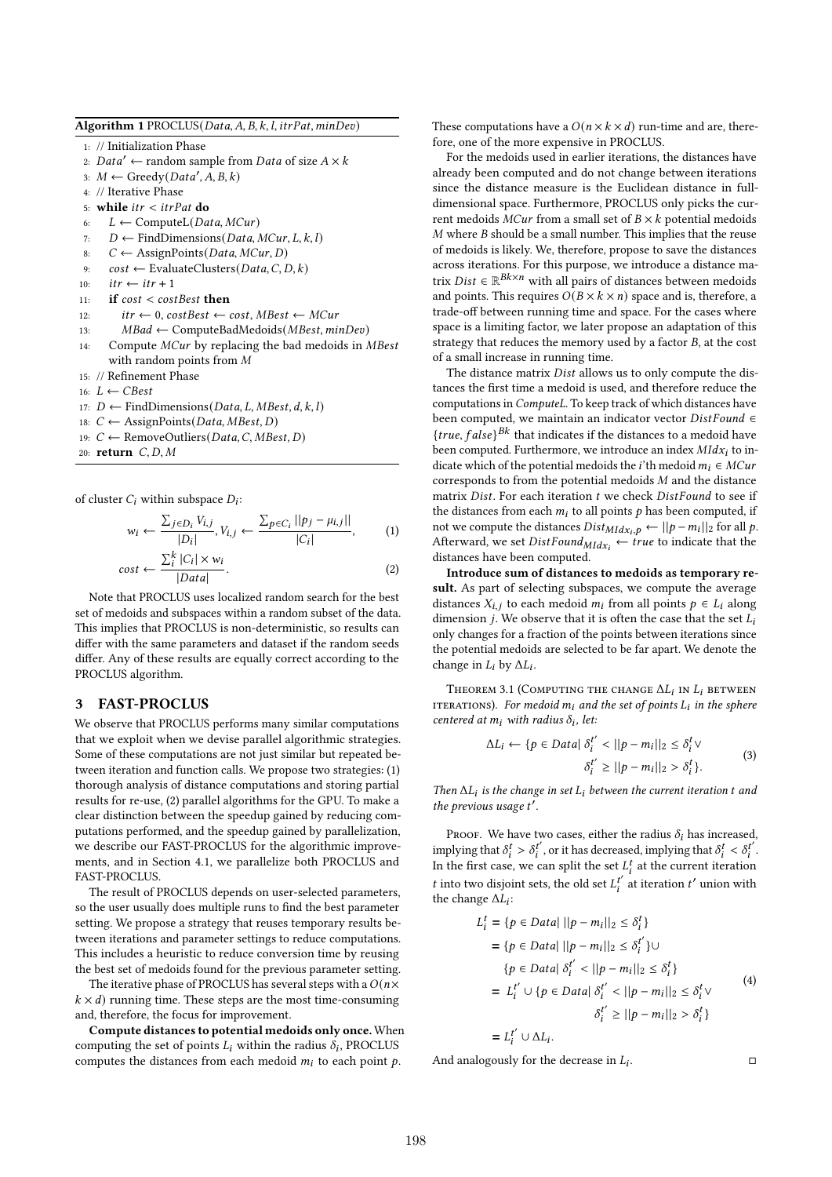|  | Algorithm 1 PROCLUS(Data, A, B, k, l, itrPat, minDev) |  |  |  |  |
|--|-------------------------------------------------------|--|--|--|--|
|--|-------------------------------------------------------|--|--|--|--|

1: // Initialization Phase

- 2:  $Data' \leftarrow$  random sample from *Data* of size  $A \times k$
- 3:  $M \leftarrow \text{Greedy}(Data', A, B, k)$
- 4: // Iterative Phase
- 5: while  $itr < irPat$  do
- 6:  $L \leftarrow$  ComputeL(*Data, MCur*)
- 7:  $D \leftarrow$  FindDimensions (*Data, MCur, L, k, l*)
- 8:  $C \leftarrow \text{AssignPoints}(Data, MCur, D)$
- 9:  $cost \leftarrow EvaluateClusters(Data, C, D, k)$
- 10:  $itr \leftarrow irr + 1$
- 11: if  $cost < costBest$  then
- 12:  $itr \leftarrow 0$ ,  $costBest \leftarrow cost, MBest \leftarrow MCur$
- 13:  $MBad \leftarrow ComputeBadMedoids(MBest, minDev)$
- 14: Compute MCur by replacing the bad medoids in MBest with random points from  $M$
- 15: // Refinement Phase
- 16:  $L \leftarrow CBest$
- 17:  $D$  ← FindDimensions(*Data, L, MBest, d, k, l*)
- 18:  $C \leftarrow \text{AssignPoints}(Data, MBest, D)$
- 19:  $C$  ← RemoveOutliers(Data, C, MBest, D)
- 20: return  $C, D, M$

of cluster  $C_i$  within subspace  $D_i$ :

$$
w_i \leftarrow \frac{\sum_{j \in D_i} V_{i,j}}{|D_i|}, V_{i,j} \leftarrow \frac{\sum_{p \in C_i} ||p_j - \mu_{i,j}||}{|C_i|},
$$
  
\n
$$
\cos t \leftarrow \frac{\sum_{i}^{k} |C_i| \times w_i}{|D_i|}.
$$
 (1)

$$
cos t \leftarrow \frac{|\text{Data}|}{|\text{Data}|}.
$$
\nNote that PROCLUS uses localized random search for the best set of medoids and subspaces within a random subset of the data. This implies that PROCLUS is non-deterministic, so results can

This implies that PROCLUS is non-deterministic, so results can differ with the same parameters and dataset if the random seeds differ. Any of these results are equally correct according to the PROCLUS algorithm.

#### 3 FAST-PROCLUS

We observe that PROCLUS performs many similar computations that we exploit when we devise parallel algorithmic strategies. Some of these computations are not just similar but repeated between iteration and function calls. We propose two strategies: (1) thorough analysis of distance computations and storing partial results for re-use, (2) parallel algorithms for the GPU. To make a clear distinction between the speedup gained by reducing computations performed, and the speedup gained by parallelization, we describe our FAST-PROCLUS for the algorithmic improvements, and in Section 4.1, we parallelize both PROCLUS and FAST-PROCLUS.

The result of PROCLUS depends on user-selected parameters, so the user usually does multiple runs to find the best parameter setting. We propose a strategy that reuses temporary results between iterations and parameter settings to reduce computations. This includes a heuristic to reduce conversion time by reusing the best set of medoids found for the previous parameter setting.

The iterative phase of PROCLUS has several steps with a  $O(n \times$  $k \times d$ ) running time. These steps are the most time-consuming and, therefore, the focus for improvement.

Compute distances to potential medoids only once. When computing the set of points  $L_i$  within the radius  $\delta_i$ , PROCLUS computes the distances from each medoid  $m_i$  to each point  $p$ .

These computations have a  $O(n \times k \times d)$  run-time and are, therefore, one of the more expensive in PROCLUS.

For the medoids used in earlier iterations, the distances have already been computed and do not change between iterations since the distance measure is the Euclidean distance in fulldimensional space. Furthermore, PROCLUS only picks the current medoids  $MCur$  from a small set of  $B \times k$  potential medoids  $M$  where  $B$  should be a small number. This implies that the reuse of medoids is likely. We, therefore, propose to save the distances across iterations. For this purpose, we introduce a distance matrix *Dist*  $\in \mathbb{R}^{Bk \times n}$  with all pairs of distances between medoids and points. This requires  $O(B \times k \times n)$  space and is, therefore, a trade-off between running time and space. For the cases where space is a limiting factor, we later propose an adaptation of this strategy that reduces the memory used by a factor  $B$ , at the cost of a small increase in running time.

The distance matrix *Dist* allows us to only compute the distances the first time a medoid is used, and therefore reduce the computations in ComputeL. To keep track of which distances have been computed, we maintain an indicator vector  $DistFound \in$  ${true, false}$ <sup>Bk</sup> that indicates if the distances to a medoid have been computed. Furthermore, we introduce an index  $Mldx_i$  to indicate which of the potential medoids the *i*'th medoid  $m_i \in MCur$ corresponds to from the potential medoids  $M$  and the distance matrix  $Dist.$  For each iteration  $t$  we check  $DistFound$  to see if the distances from each  $m_i$  to all points  $p$  has been computed, if not we compute the distances  $Dist_{MIdx_i,p} \leftarrow ||p - m_i||_2$  for all p. Afterward, we set  $DistFound_{Mldx_i} \leftarrow true$  to indicate that the distances have been computed.

Introduce sum of distances to medoids as temporary result. As part of selecting subspaces, we compute the average distances  $X_{i,j}$  to each medoid  $m_i$  from all points  $p \in L_i$  along dimension  $j$ . We observe that it is often the case that the set  $L_i$ only changes for a fraction of the points between iterations since the potential medoids are selected to be far apart. We denote the change in  $L_i$  by  $\Delta L_i$ .

THEOREM 3.1 (COMPUTING THE CHANGE  $\Delta L_i$  in  $L_i$  between ITERATIONS). For medoid  $m_i$  and the set of points  $L_i$  in the sphere centered at  $m_i$  with radius  $\delta_i$ , let:

$$
\Delta L_i \leftarrow \{ p \in Data | \delta_i^{t'} < ||p - m_i||_2 \le \delta_i^t \vee \delta_i^{t'} \ge ||p - m_i||_2 > \delta_i^t \}.
$$
\n
$$
(3)
$$

Then  $\Delta L_i$  is the change in set  $L_i$  between the current iteration t and the previous usage  $t'$ .

PROOF. We have two cases, either the radius  $\delta_i$  has increased, implying that  $\delta_i^t > \delta_i^{t'}$ , or it has decreased, implying that  $\delta_i^t < \delta_i^{t'}$ . In the first case, we can split the set  $L_i^t$  at the current iteration *t* into two disjoint sets, the old set  $L_i^{t'}$  at iteration  $t'$  union with the change  $\Delta L_i$ :

$$
L_i^t = \{p \in Data | ||p - m_i||_2 \le \delta_i^t\}
$$
  
\n
$$
= \{p \in Data | ||p - m_i||_2 \le \delta_i^t\} \cup
$$
  
\n
$$
\{p \in Data | \delta_i^{t'} < ||p - m_i||_2 \le \delta_i^t\}
$$
  
\n
$$
= L_i^{t'} \cup \{p \in Data | \delta_i^{t'} < ||p - m_i||_2 \le \delta_i^t\} \cup \delta_i^{t'} \ge ||p - m_i||_2 > \delta_i^t\}
$$
  
\n
$$
= L_i^{t'} \cup \Delta L_i.
$$
\n(4)

And analogously for the decrease in  $L_i$ .

. □ □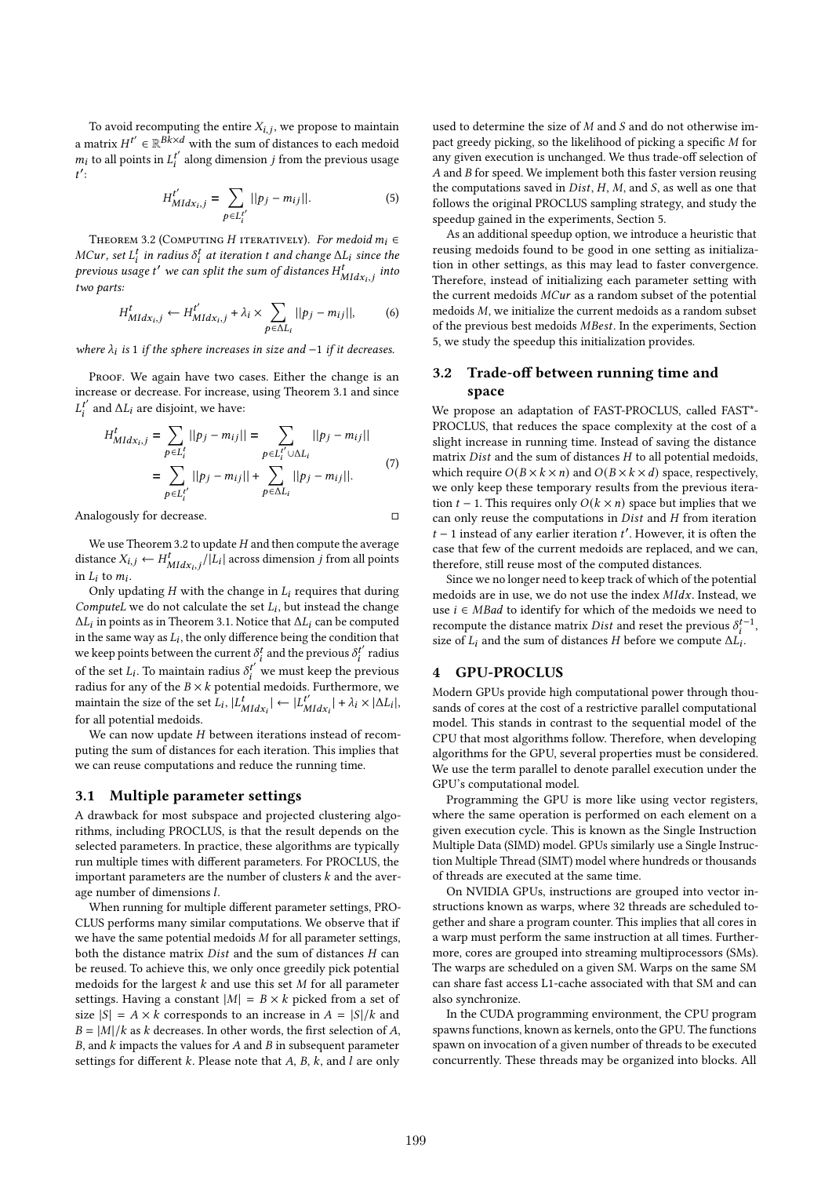To avoid recomputing the entire  $X_{i,j}$ , we propose to maintain a matrix  $H^{t'} \in \mathbb{R}^{Bk \times d}$  with the sum of distances to each medoid  $m_i$  to all points in  $L_i^{t'}$  along dimension *j* from the previous usage  $t'$ :

$$
H_{Mldx_{i},j}^{t'} = \sum_{p \in L_{i}^{t'}} ||p_{j} - m_{ij}||.
$$
 (5)

THEOREM 3.2 (COMPUTING H ITERATIVELY). For medoid  $m_i \in$ MCur, set  $L_i^t$  in radius  $\delta_i^t$  at iteration t and change  $\Delta L_i$  since the previous usage t' we can split the sum of distances  $H_{Mldx_{i,j}}^{t}$  into two parts:

$$
H_{Mldx_{i},j}^{t} \leftarrow H_{Mldx_{i},j}^{t'} + \lambda_{i} \times \sum_{p \in \Delta L_{i}} ||p_{j} - m_{ij}||, \qquad (6)
$$

where  $\lambda_i$  is 1 if the sphere increases in size and -1 if it decreases.

PROOF. We again have two cases. Either the change is an increase or decrease. For increase, using Theorem 3.1 and since  $L_i^{t'}$  and  $\Delta L_i$  are disjoint, we have:

$$
H_{MIdx_{i,j}}^{t} = \sum_{p \in L_{i}^{t}} ||p_{j} - m_{ij}|| = \sum_{p \in L_{i}^{t'} \cup \Delta L_{i}} ||p_{j} - m_{ij}||
$$
  
= 
$$
\sum_{p \in L_{i}^{t'}} ||p_{j} - m_{ij}|| + \sum_{p \in \Delta L_{i}} ||p_{j} - m_{ij}||.
$$
 (7)

Analogously for decrease. □

We use Theorem 3.2 to update  $H$  and then compute the average distance  $X_{i,j} \leftarrow H_{Mldx_{i,j}}^{t}/|L_i|$  across dimension j from all points in  $L_i$  to  $m_i$ .

Only updating  $H$  with the change in  $L_i$  requires that during ComputeL we do not calculate the set  $L_i$ , but instead the change  $\Delta L_i$  in points as in Theorem 3.1. Notice that  $\Delta L_i$  can be computed in the same way as  $L_i$ , the only difference being the condition that we keep points between the current  $\delta_i^t$  and the previous  $\delta_i^{t'}$  radius of the set  $L_i$ . To maintain radius  $\delta_i^{t'}$  we must keep the previous radius for any of the  $B \times k$  potential medoids. Furthermore, we maintain the size of the set  $L_i$ ,  $|L_{Mldx_i}^t| \leftarrow |L_{Mldx_i}^{t'}| + \lambda_i \times |\Delta L_i|$ , for all potential medoids.

We can now update  $H$  between iterations instead of recomputing the sum of distances for each iteration. This implies that we can reuse computations and reduce the running time.

#### 3.1 Multiple parameter settings

A drawback for most subspace and projected clustering algorithms, including PROCLUS, is that the result depends on the selected parameters. In practice, these algorithms are typically run multiple times with different parameters. For PROCLUS, the important parameters are the number of clusters  $k$  and the average number of dimensions l.

When running for multiple different parameter settings, PRO-CLUS performs many similar computations. We observe that if we have the same potential medoids  $M$  for all parameter settings, both the distance matrix  $Dist$  and the sum of distances  $H$  can be reused. To achieve this, we only once greedily pick potential medoids for the largest  $k$  and use this set  $M$  for all parameter settings. Having a constant  $|M| = B \times k$  picked from a set of size  $|S| = A \times k$  corresponds to an increase in  $A = |S|/k$  and  $B = |M|/k$  as k decreases. In other words, the first selection of A,  $B$ , and  $k$  impacts the values for  $A$  and  $B$  in subsequent parameter settings for different  $k$ . Please note that  $A$ ,  $B$ ,  $k$ , and  $l$  are only

used to determine the size of  $M$  and  $S$  and do not otherwise impact greedy picking, so the likelihood of picking a specific M for any given execution is unchanged. We thus trade-off selection of  $A$  and  $B$  for speed. We implement both this faster version reusing the computations saved in  $Dist, H, M$ , and  $S$ , as well as one that follows the original PROCLUS sampling strategy, and study the speedup gained in the experiments, Section 5.

As an additional speedup option, we introduce a heuristic that reusing medoids found to be good in one setting as initialization in other settings, as this may lead to faster convergence. Therefore, instead of initializing each parameter setting with the current medoids  $MCur$  as a random subset of the potential medoids  $M$ , we initialize the current medoids as a random subset of the previous best medoids MBest. In the experiments, Section 5, we study the speedup this initialization provides.

# 3.2 Trade-off between running time and space

We propose an adaptation of FAST-PROCLUS, called FAST\*- PROCLUS, that reduces the space complexity at the cost of a slight increase in running time. Instead of saving the distance matrix  $Dist$  and the sum of distances  $H$  to all potential medoids, which require  $O(B \times k \times n)$  and  $O(B \times k \times d)$  space, respectively, we only keep these temporary results from the previous iteration  $t - 1$ . This requires only  $O(k \times n)$  space but implies that we can only reuse the computations in  $Dist$  and  $H$  from iteration  $t - 1$  instead of any earlier iteration  $t'$ . However, it is often the case that few of the current medoids are replaced, and we can, therefore, still reuse most of the computed distances.

Since we no longer need to keep track of which of the potential medoids are in use, we do not use the index  $Mldx$ . Instead, we use  $i \in MBad$  to identify for which of the medoids we need to recompute the distance matrix *Dist* and reset the previous  $\delta_i^{t-1}$ , size of  $L_i$  and the sum of distances H before we compute  $\Delta L_i$ .

# 4 GPU-PROCLUS

Modern GPUs provide high computational power through thousands of cores at the cost of a restrictive parallel computational model. This stands in contrast to the sequential model of the CPU that most algorithms follow. Therefore, when developing algorithms for the GPU, several properties must be considered. We use the term parallel to denote parallel execution under the GPU's computational model.

Programming the GPU is more like using vector registers, where the same operation is performed on each element on a given execution cycle. This is known as the Single Instruction Multiple Data (SIMD) model. GPUs similarly use a Single Instruction Multiple Thread (SIMT) model where hundreds or thousands of threads are executed at the same time.

On NVIDIA GPUs, instructions are grouped into vector instructions known as warps, where 32 threads are scheduled together and share a program counter. This implies that all cores in a warp must perform the same instruction at all times. Furthermore, cores are grouped into streaming multiprocessors (SMs). The warps are scheduled on a given SM. Warps on the same SM can share fast access L1-cache associated with that SM and can also synchronize.

In the CUDA programming environment, the CPU program spawns functions, known as kernels, onto the GPU. The functions spawn on invocation of a given number of threads to be executed concurrently. These threads may be organized into blocks. All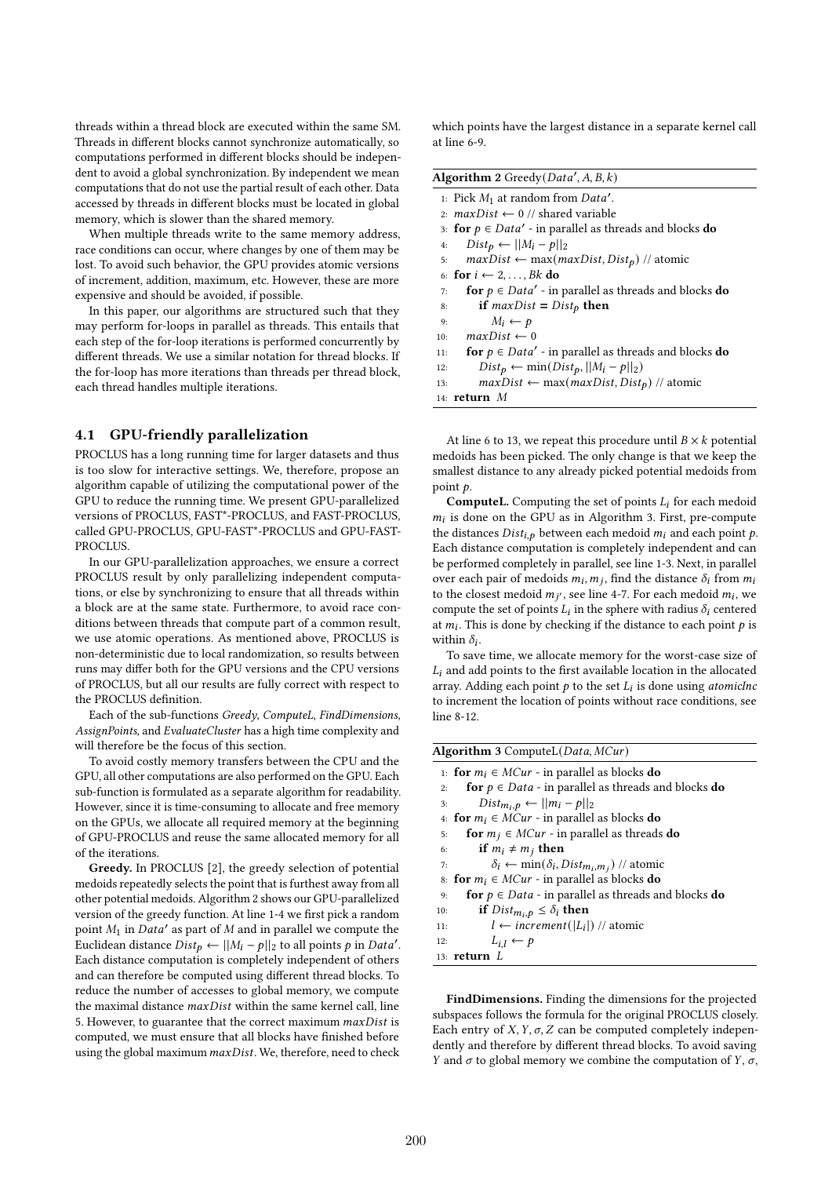threads within a thread block are executed within the same SM. Threads in different blocks cannot synchronize automatically, so computations performed in different blocks should be independent to avoid a global synchronization. By independent we mean computations that do not use the partial result of each other. Data accessed by threads in different blocks must be located in global memory, which is slower than the shared memory.

When multiple threads write to the same memory address, race conditions can occur, where changes by one of them may be lost. To avoid such behavior, the GPU provides atomic versions of increment, addition, maximum, etc. However, these are more expensive and should be avoided, if possible.

In this paper, our algorithms are structured such that they may perform for-loops in parallel as threads. This entails that each step of the for-loop iterations is performed concurrently by different threads. We use a similar notation for thread blocks. If the for-loop has more iterations than threads per thread block, each thread handles multiple iterations.

## 4.1 GPU-friendly parallelization

PROCLUS has a long running time for larger datasets and thus is too slow for interactive settings. We, therefore, propose an algorithm capable of utilizing the computational power of the GPU to reduce the running time. We present GPU-parallelized versions of PROCLUS, FAST\*-PROCLUS, and FAST-PROCLUS, called GPU-PROCLUS, GPU-FAST\*-PROCLUS and GPU-FAST-PROCLUS.

In our GPU-parallelization approaches, we ensure a correct PROCLUS result by only parallelizing independent computations, or else by synchronizing to ensure that all threads within a block are at the same state. Furthermore, to avoid race conditions between threads that compute part of a common result, we use atomic operations. As mentioned above, PROCLUS is non-deterministic due to local randomization, so results between runs may differ both for the GPU versions and the CPU versions of PROCLUS, but all our results are fully correct with respect to the PROCLUS definition.

Each of the sub-functions Greedy, ComputeL, FindDimensions, AssignPoints, and EvaluateCluster has a high time complexity and will therefore be the focus of this section.

To avoid costly memory transfers between the CPU and the GPU, all other computations are also performed on the GPU. Each sub-function is formulated as a separate algorithm for readability. However, since it is time-consuming to allocate and free memory on the GPUs, we allocate all required memory at the beginning of GPU-PROCLUS and reuse the same allocated memory for all of the iterations.

Greedy. In PROCLUS [2], the greedy selection of potential medoids repeatedly selects the point that is furthest away from all other potential medoids. Algorithm 2 shows our GPU-parallelized version of the greedy function. At line 1-4 we first pick a random point  $M_1$  in Data' as part of M and in parallel we compute the Euclidean distance  $Dist_p \leftarrow ||M_i - p||_2$  to all points p in Data'. Each distance computation is completely independent of others and can therefore be computed using different thread blocks. To reduce the number of accesses to global memory, we compute the maximal distance  $maxDist$  within the same kernel call, line 5. However, to guarantee that the correct maximum  $maxDist$  is computed, we must ensure that all blocks have finished before using the global maximum  $maxDist$ . We, therefore, need to check

which points have the largest distance in a separate kernel call at line 6-9.

| <b>Algorithm 2</b> Greedy $(Data', A, B, k)$                                  |
|-------------------------------------------------------------------------------|
| 1: Pick $M_1$ at random from Data'.                                           |
| 2: $maxDist \leftarrow 0$ // shared variable                                  |
| 3: for $p \in Data'$ - in parallel as threads and blocks do                   |
| $Dist_{p} \leftarrow   M_i - p  _2$<br>4:                                     |
| $maxDist \leftarrow max(maxDist, Dist_p)$ // atomic<br>5:                     |
| 6: for $i \leftarrow 2, \ldots, Bk$ do                                        |
| for $p \in Data'$ - in parallel as threads and blocks do<br>7:                |
| if $maxDist = Dist_p$ then<br>8:                                              |
| $M_i \leftarrow p$<br>9:                                                      |
| $maxDist \leftarrow 0$<br>10:                                                 |
| <b>for</b> $p \in Data'$ - in parallel as threads and blocks <b>do</b><br>11: |
| $Dist_p \leftarrow min(Dist_p,   M_i - p  _2)$<br>12:                         |
| $maxDist \leftarrow max(maxDist, Dist_p)$ // atomic<br>13:                    |
| 14: $return M$                                                                |

At line 6 to 13, we repeat this procedure until  $B \times k$  potential medoids has been picked. The only change is that we keep the smallest distance to any already picked potential medoids from point  $p$ .

**ComputeL.** Computing the set of points  $L_i$  for each medoid  $m_i$  is done on the GPU as in Algorithm 3. First, pre-compute the distances  $Dist_{i,p}$  between each medoid  $m_i$  and each point  $p$ . Each distance computation is completely independent and can be performed completely in parallel, see line 1-3. Next, in parallel over each pair of medoids  $m_i$ ,  $m_j$ , find the distance  $\delta_i$  from  $m_i$ to the closest medoid  $m_{i'}$ , see line 4-7. For each medoid  $m_i$ , we compute the set of points  $L_i$  in the sphere with radius  $\delta_i$  centered at  $m_i$ . This is done by checking if the distance to each point  $p$  is within  $\delta_i$ .

To save time, we allocate memory for the worst-case size of  $L<sub>i</sub>$  and add points to the first available location in the allocated array. Adding each point  $p$  to the set  $L_i$  is done using atomicInc to increment the location of points without race conditions, see line 8-12.

| Algorithm 3 ComputeL( $Data, MCur$ )                                        |  |
|-----------------------------------------------------------------------------|--|
| 1: for $m_i \in MCur$ - in parallel as blocks do                            |  |
| <b>for</b> $p \in Data$ - in parallel as threads and blocks <b>do</b><br>2: |  |
| $Dist_{m_i,p} \leftarrow   m_i - p  _2$<br>3:                               |  |
| 4: for $m_i \in MCur$ - in parallel as blocks do                            |  |
| for $m_j \in MCur$ - in parallel as threads do<br>5:                        |  |
| if $m_i \neq m_j$ then<br>6:                                                |  |
| $\delta_i \leftarrow \min(\delta_i, Dist_{m_i,m_i})$ // atomic<br>7:        |  |
| 8: for $m_i \in MCur$ - in parallel as blocks do                            |  |
| for $p \in Data$ - in parallel as threads and blocks do<br>9:               |  |
| if $Dist_{m_i,p} \leq \delta_i$ then<br>10:                                 |  |
| $l \leftarrow increment( L_i )$ // atomic<br>11:                            |  |
| $L_{i,l} \leftarrow p$<br>12:                                               |  |
| 13: $return L$                                                              |  |

FindDimensions. Finding the dimensions for the projected subspaces follows the formula for the original PROCLUS closely. Each entry of  $X$ ,  $Y$ ,  $\sigma$ ,  $Z$  can be computed completely independently and therefore by different thread blocks. To avoid saving Y and  $\sigma$  to global memory we combine the computation of Y,  $\sigma$ ,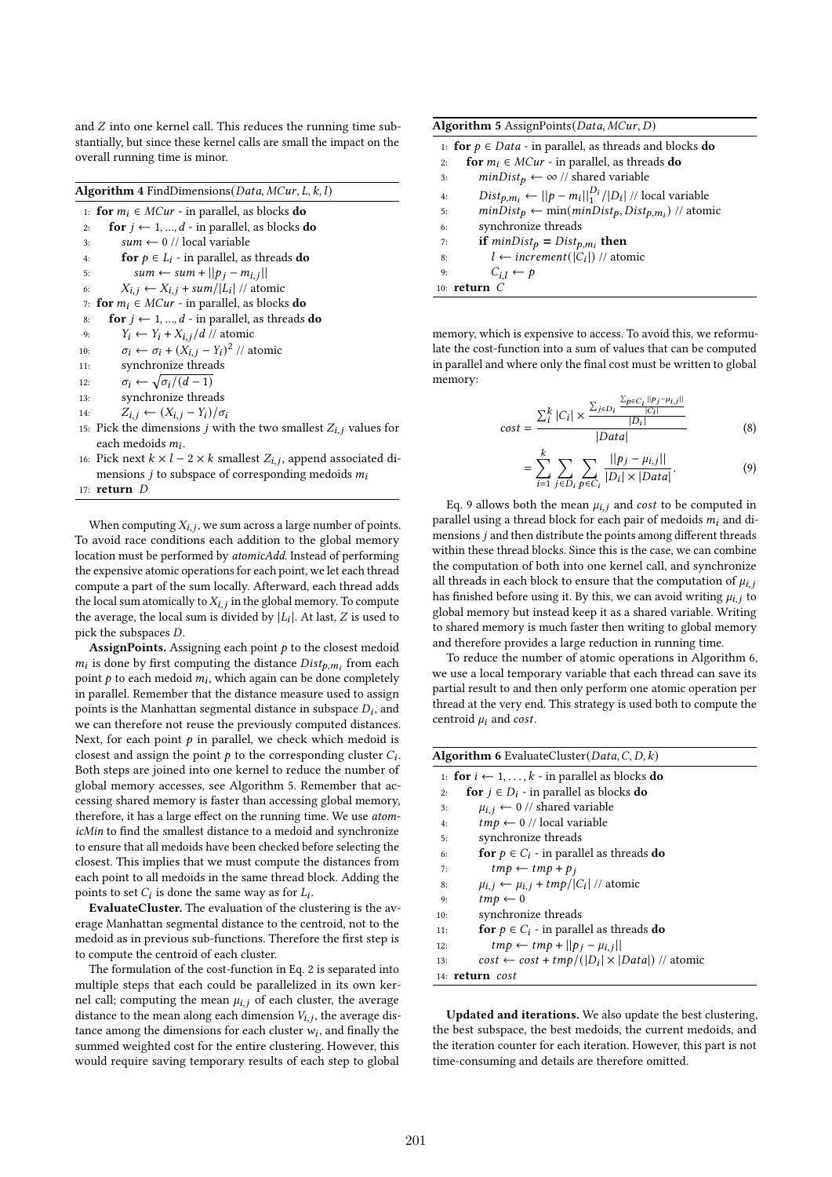and  $Z$  into one kernel call. This reduces the running time substantially, but since these kernel calls are small the impact on the overall running time is minor.

| Algorithm 4 FindDimensions(Data, MCur, L, k, l) |  |  |  |
|-------------------------------------------------|--|--|--|
|                                                 |  |  |  |

1: for  $m_i \in MCur$  - in parallel, as blocks do 2: for  $j \leftarrow 1, ..., d$  - in parallel, as blocks do 3:  $sum \leftarrow 0 // local variable$ 4: **for**  $p \in L_i$  - in parallel, as threads **do** 5:  $sum \leftarrow sum + ||p_j - m_{i,j}||$ 6:  $X_{i,j} \leftarrow X_{i,j} + \frac{sum}{|L_i|}/\frac{1}{N}$  atomic 7: for  $m_i \in MCur$  - in parallel, as blocks do 8: **for**  $j \leftarrow 1, ..., d$  - in parallel, as threads **do** 9:  $Y_i \leftarrow Y_i + X_{i,j}/d \text{ // atomic}$ 10:  $\sigma_i \leftarrow \sigma_i + (X_{i,j} - Y_i)^2$  // atomic 11: synchronize threads 12:  $\sigma_i \leftarrow \sqrt{\sigma_i/(d-1)}$ 13: synchronize threads 14:  $Z_{i,j} \leftarrow (X_{i,j} - Y_i)/\sigma_i$ 15: Pick the dimensions *j* with the two smallest  $Z_{i,j}$  values for each medoids  $m_i$ .

16: Pick next  $k \times l - 2 \times k$  smallest  $Z_{i,j}$ , append associated dimensions *j* to subspace of corresponding medoids  $m_i$ 

17:  $return D$ 

When computing  $X_{i,j}$ , we sum across a large number of points. To avoid race conditions each addition to the global memory location must be performed by atomicAdd. Instead of performing the expensive atomic operations for each point, we let each thread compute a part of the sum locally. Afterward, each thread adds the local sum atomically to  $X_{i,j}$  in the global memory. To compute the average, the local sum is divided by  $|L_i|$ . At last, Z is used to pick the subspaces  $D$ .

AssignPoints. Assigning each point  $p$  to the closest medoid  $m_i$  is done by first computing the distance  $Dist_{p,m_i}$  from each point  $p$  to each medoid  $m_i$ , which again can be done completely in parallel. Remember that the distance measure used to assign points is the Manhattan segmental distance in subspace  $D_i$ , and we can therefore not reuse the previously computed distances. Next, for each point  $p$  in parallel, we check which medoid is closest and assign the point  $p$  to the corresponding cluster  $C_i$ . Both steps are joined into one kernel to reduce the number of global memory accesses, see Algorithm 5. Remember that accessing shared memory is faster than accessing global memory, therefore, it has a large effect on the running time. We use atomicMin to find the smallest distance to a medoid and synchronize to ensure that all medoids have been checked before selecting the closest. This implies that we must compute the distances from each point to all medoids in the same thread block. Adding the points to set  $C_i$  is done the same way as for  $L_i$ .

EvaluateCluster. The evaluation of the clustering is the average Manhattan segmental distance to the centroid, not to the medoid as in previous sub-functions. Therefore the first step is to compute the centroid of each cluster.

The formulation of the cost-function in Eq. 2 is separated into multiple steps that each could be parallelized in its own kernel call; computing the mean  $\mu_{i,j}$  of each cluster, the average distance to the mean along each dimension  $V_{i,j}$ , the average distance among the dimensions for each cluster  $w_i$ , and finally the summed weighted cost for the entire clustering. However, this would require saving temporary results of each step to global

| Algorithm 5 AssignPoints (Data, MCur, D)                                    |  |  |
|-----------------------------------------------------------------------------|--|--|
| 1: for $p \in Data$ - in parallel, as threads and blocks do                 |  |  |
| <b>for</b> $m_i \in MCur$ - in parallel, as threads <b>do</b><br>2:         |  |  |
| $minDist_p \leftarrow \infty$ // shared variable<br>3:                      |  |  |
| $Dist_{p,m_i} \leftarrow   p - m_i  _1^{D_i}/ D_i $ // local variable<br>4: |  |  |
| $minDist_p \leftarrow min(minDist_p, Dist_{p,m_i})$ // atomic<br>5:         |  |  |
| synchronize threads<br>6:                                                   |  |  |
| if $minDist_p = Dist_{p,m_i}$ then<br>7:                                    |  |  |
| $l \leftarrow increment( C_i )$ // atomic<br>8:                             |  |  |
| $C_{i,l} \leftarrow p$<br>9:                                                |  |  |
| $10 \cdot$ refurn                                                           |  |  |

memory, which is expensive to access. To avoid this, we reformulate the cost-function into a sum of values that can be computed in parallel and where only the final cost must be written to global memory:

$$
cost = \frac{\sum_{i}^{k} |C_{i}| \times \frac{\sum_{j \in D_{i}} \frac{\sum_{p \in C_{i}} ||p_{j} - \mu_{i,j}||}{|C_{i}|}}{|D_{i}|}}{|Data|}
$$
(8)

$$
= \sum_{i=1}^{k} \sum_{j \in D_i} \sum_{p \in C_i} \frac{||p_j - \mu_{i,j}||}{|D_i| \times |Data|}.
$$
 (9)

Eq. 9 allows both the mean  $\mu_{i,j}$  and cost to be computed in parallel using a thread block for each pair of medoids  $m_i$  and dimensions  $j$  and then distribute the points among different threads within these thread blocks. Since this is the case, we can combine the computation of both into one kernel call, and synchronize all threads in each block to ensure that the computation of  $\mu_{i,i}$ has finished before using it. By this, we can avoid writing  $\mu_{i,j}$  to global memory but instead keep it as a shared variable. Writing to shared memory is much faster then writing to global memory and therefore provides a large reduction in running time.

To reduce the number of atomic operations in Algorithm 6, we use a local temporary variable that each thread can save its partial result to and then only perform one atomic operation per thread at the very end. This strategy is used both to compute the centroid  $\mu_i$  and cost.

| <b>Algorithm 6</b> EvaluateCluster( $Data, C, D, k$ )                 |  |  |
|-----------------------------------------------------------------------|--|--|
| 1: for $i \leftarrow 1, \ldots, k$ - in parallel as blocks do         |  |  |
| for $j \in D_i$ - in parallel as blocks do<br>2:                      |  |  |
| $\mu_{i,i} \leftarrow 0$ // shared variable<br>3:                     |  |  |
| $tmp \leftarrow 0$ // local variable<br>4:                            |  |  |
| synchronize threads<br>5:                                             |  |  |
| <b>for</b> $p \in C_i$ - in parallel as threads <b>do</b><br>6:       |  |  |
| $tmp \leftarrow tmp + p_i$<br>7:                                      |  |  |
| $\mu_{i,i} \leftarrow \mu_{i,i} + \frac{t m p}{ C_i }/2$ atomic<br>8: |  |  |
| $tmp \leftarrow 0$<br>9:                                              |  |  |
| synchronize threads<br>10:                                            |  |  |
| <b>for</b> $p \in C_i$ - in parallel as threads <b>do</b><br>11:      |  |  |
| $tmp \leftarrow tmp +   p_i - \mu_{i,i}  $<br>12:                     |  |  |
| $cost \leftarrow cost + tmp/( D_i  \times  Data )$ // atomic<br>13:   |  |  |
| 14: <b>return</b> cost                                                |  |  |

Updated and iterations. We also update the best clustering, the best subspace, the best medoids, the current medoids, and the iteration counter for each iteration. However, this part is not time-consuming and details are therefore omitted.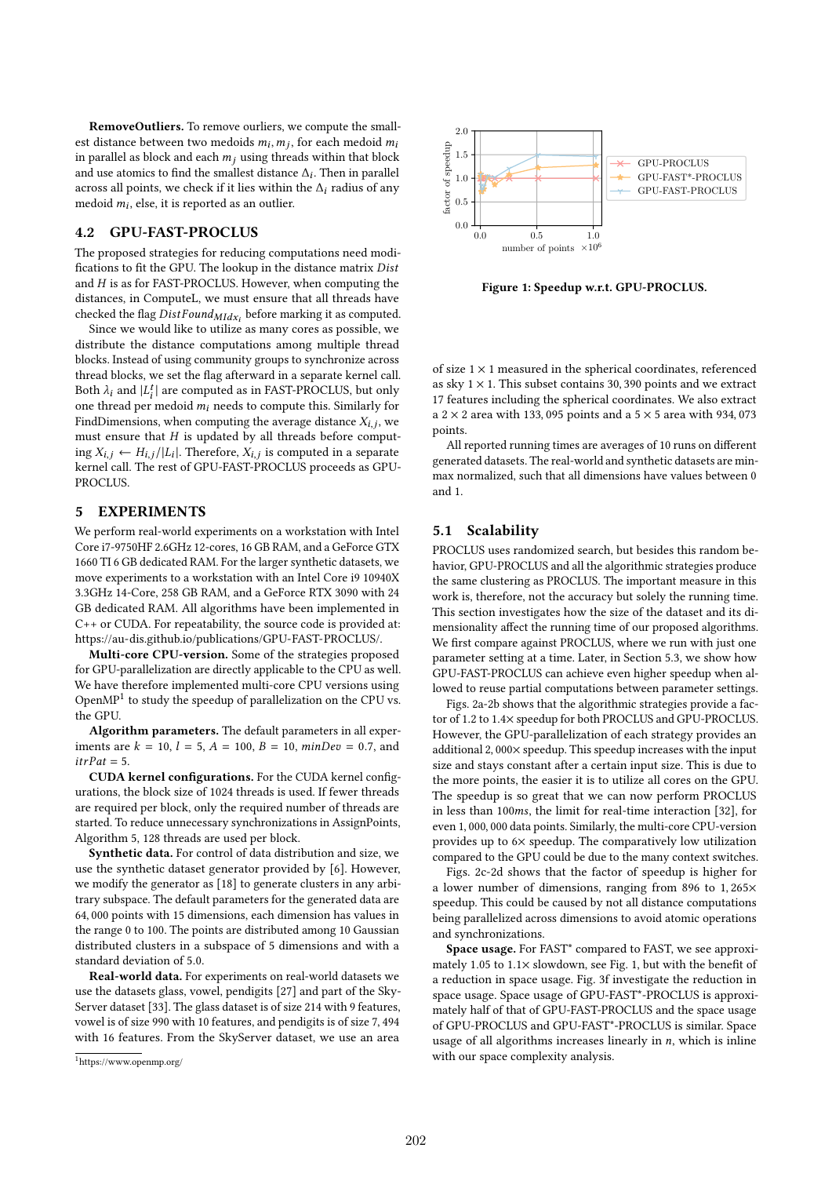RemoveOutliers. To remove ourliers, we compute the smallest distance between two medoids  $m_i, m_j$ , for each medoid  $m_i$ in parallel as block and each  $m_j$  using threads within that block and use atomics to find the smallest distance  $\Delta_i$ . Then in parallel across all points, we check if it lies within the  $\Delta_i$  radius of any medoid  $m_i$ , else, it is reported as an outlier.

## 4.2 GPU-FAST-PROCLUS

The proposed strategies for reducing computations need modifications to fit the GPU. The lookup in the distance matrix Dist and  $H$  is as for FAST-PROCLUS. However, when computing the distances, in ComputeL, we must ensure that all threads have checked the flag  $DistFound_{Mldx_i}$  before marking it as computed.

Since we would like to utilize as many cores as possible, we distribute the distance computations among multiple thread blocks. Instead of using community groups to synchronize across thread blocks, we set the flag afterward in a separate kernel call. Both  $\lambda_i$  and  $\hat{L}_i^t$  are computed as in FAST-PROCLUS, but only one thread per medoid  $m_i$  needs to compute this. Similarly for FindDimensions, when computing the average distance  $X_{i,j}$ , we must ensure that  $H$  is updated by all threads before computing  $X_{i,i} \leftarrow H_{i,i}/|L_i|$ . Therefore,  $X_{i,j}$  is computed in a separate kernel call. The rest of GPU-FAST-PROCLUS proceeds as GPU-PROCLUS.

### 5 EXPERIMENTS

We perform real-world experiments on a workstation with Intel Core i7-9750HF 2.6GHz 12-cores, 16 GB RAM, and a GeForce GTX 1660 TI 6 GB dedicated RAM. For the larger synthetic datasets, we move experiments to a workstation with an Intel Core i9 10940X 3.3GHz 14-Core, 258 GB RAM, and a GeForce RTX 3090 with 24 GB dedicated RAM. All algorithms have been implemented in C++ or CUDA. For repeatability, the source code is provided at: https://au-dis.github.io/publications/GPU-FAST-PROCLUS/.

Multi-core CPU-version. Some of the strategies proposed for GPU-parallelization are directly applicable to the CPU as well. We have therefore implemented multi-core CPU versions using Open $MP<sup>1</sup>$  to study the speedup of parallelization on the CPU vs. the GPU.

Algorithm parameters. The default parameters in all experiments are  $k = 10$ ,  $l = 5$ ,  $A = 100$ ,  $B = 10$ ,  $minDev = 0.7$ , and  $itrPat = 5.$ 

CUDA kernel configurations. For the CUDA kernel configurations, the block size of 1024 threads is used. If fewer threads are required per block, only the required number of threads are started. To reduce unnecessary synchronizations in AssignPoints, Algorithm 5, 128 threads are used per block.

Synthetic data. For control of data distribution and size, we use the synthetic dataset generator provided by [6]. However, we modify the generator as [18] to generate clusters in any arbitrary subspace. The default parameters for the generated data are 64, 000 points with 15 dimensions, each dimension has values in the range 0 to 100. The points are distributed among 10 Gaussian distributed clusters in a subspace of 5 dimensions and with a standard deviation of 5.0.

Real-world data. For experiments on real-world datasets we use the datasets glass, vowel, pendigits [27] and part of the Sky-Server dataset [33]. The glass dataset is of size 214 with 9 features, vowel is of size 990 with 10 features, and pendigits is of size 7, 494 with 16 features. From the SkyServer dataset, we use an area



Figure 1: Speedup w.r.t. GPU-PROCLUS.

of size  $1 \times 1$  measured in the spherical coordinates, referenced as sky  $1 \times 1$ . This subset contains 30, 390 points and we extract 17 features including the spherical coordinates. We also extract a 2  $\times$  2 area with 133, 095 points and a 5  $\times$  5 area with 934, 073 points.

All reported running times are averages of 10 runs on different generated datasets. The real-world and synthetic datasets are minmax normalized, such that all dimensions have values between 0 and 1.

#### 5.1 Scalability

PROCLUS uses randomized search, but besides this random behavior, GPU-PROCLUS and all the algorithmic strategies produce the same clustering as PROCLUS. The important measure in this work is, therefore, not the accuracy but solely the running time. This section investigates how the size of the dataset and its dimensionality affect the running time of our proposed algorithms. We first compare against PROCLUS, where we run with just one parameter setting at a time. Later, in Section 5.3, we show how GPU-FAST-PROCLUS can achieve even higher speedup when allowed to reuse partial computations between parameter settings.

Figs. 2a-2b shows that the algorithmic strategies provide a factor of 1.2 to 1.4× speedup for both PROCLUS and GPU-PROCLUS. However, the GPU-parallelization of each strategy provides an additional 2, 000× speedup. This speedup increases with the input size and stays constant after a certain input size. This is due to the more points, the easier it is to utilize all cores on the GPU. The speedup is so great that we can now perform PROCLUS in less than 100ms, the limit for real-time interaction [32], for even 1, 000, 000 data points. Similarly, the multi-core CPU-version provides up to 6× speedup. The comparatively low utilization compared to the GPU could be due to the many context switches.

Figs. 2c-2d shows that the factor of speedup is higher for a lower number of dimensions, ranging from 896 to 1, 265× speedup. This could be caused by not all distance computations being parallelized across dimensions to avoid atomic operations and synchronizations.

Space usage. For FAST\* compared to FAST, we see approximately 1.05 to 1.1× slowdown, see Fig. 1, but with the benefit of a reduction in space usage. Fig. 3f investigate the reduction in space usage. Space usage of GPU-FAST\*-PROCLUS is approximately half of that of GPU-FAST-PROCLUS and the space usage of GPU-PROCLUS and GPU-FAST\*-PROCLUS is similar. Space usage of all algorithms increases linearly in  $n$ , which is inline with our space complexity analysis.

<sup>1</sup>https://www.openmp.org/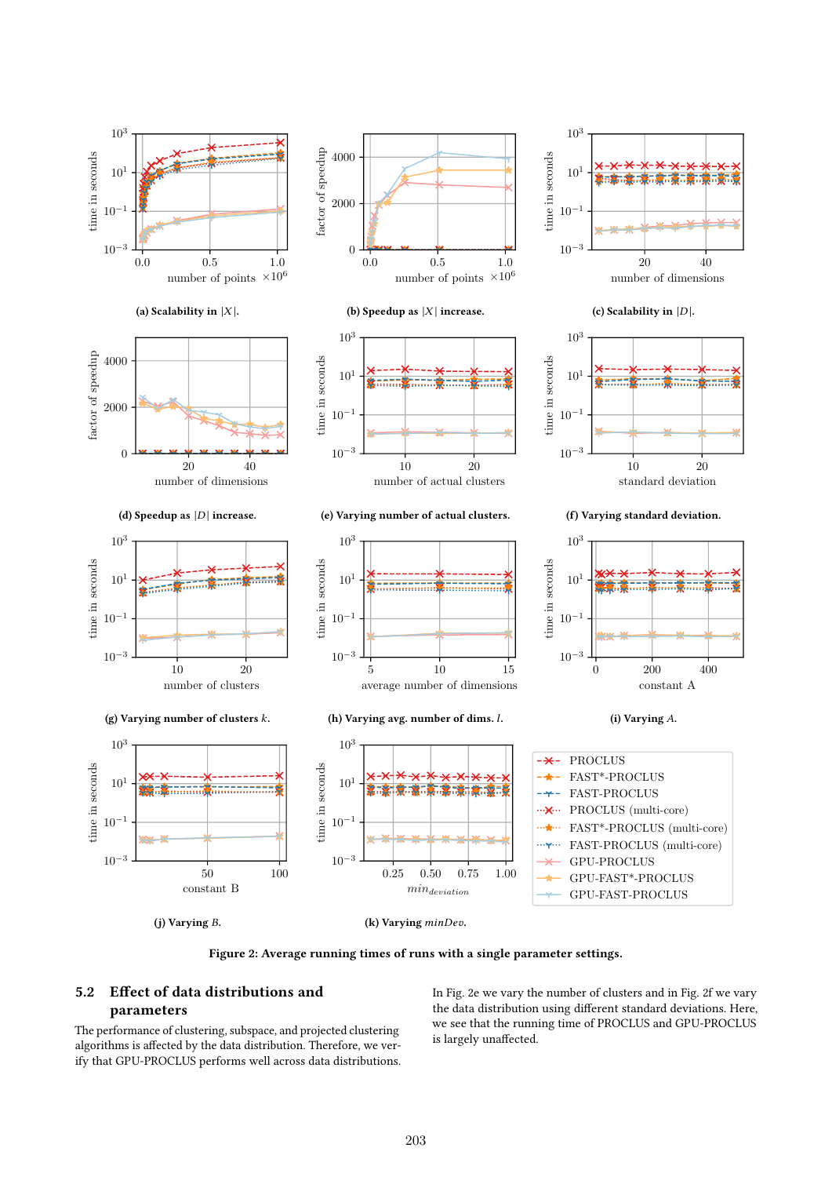

Figure 2: Average running times of runs with a single parameter settings.

# 5.2 Effect of data distributions and parameters

The performance of clustering, subspace, and projected clustering algorithms is affected by the data distribution. Therefore, we verify that GPU-PROCLUS performs well across data distributions. In Fig. 2e we vary the number of clusters and in Fig. 2f we vary the data distribution using different standard deviations. Here, we see that the running time of PROCLUS and GPU-PROCLUS is largely unaffected.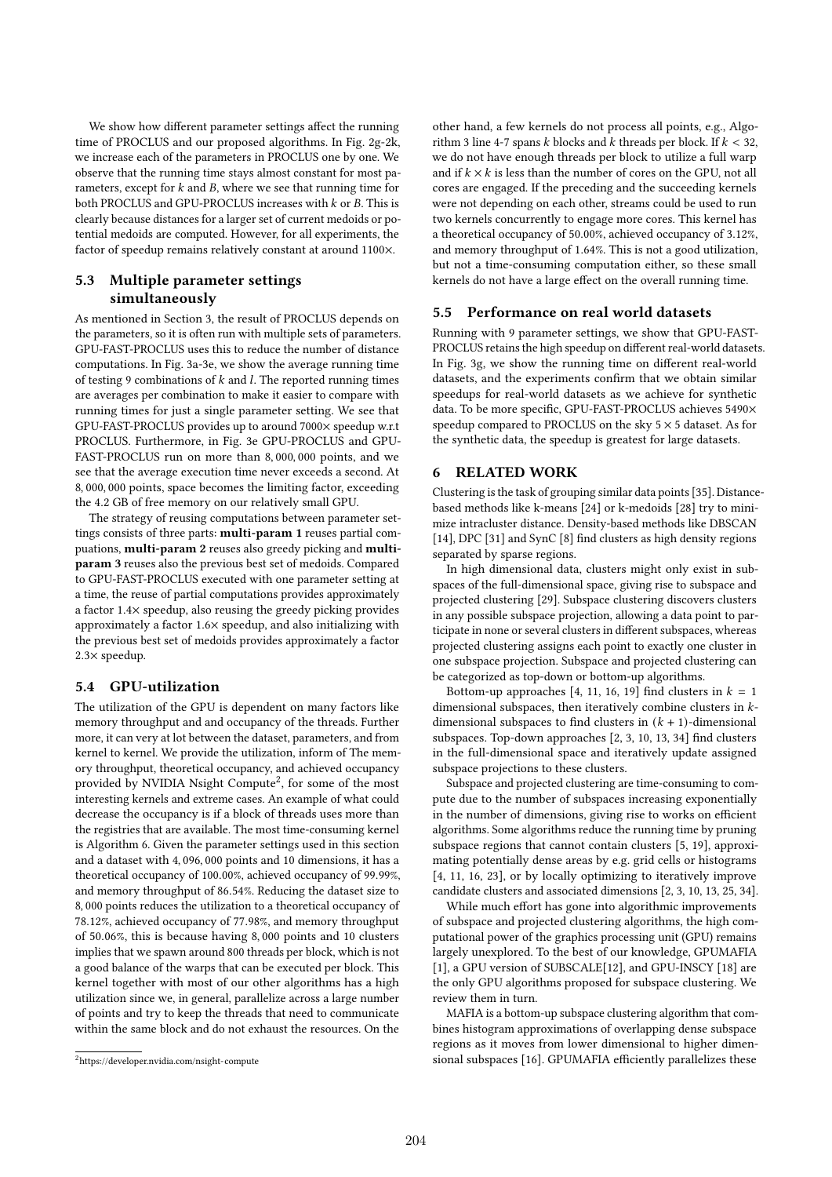We show how different parameter settings affect the running time of PROCLUS and our proposed algorithms. In Fig. 2g-2k, we increase each of the parameters in PROCLUS one by one. We observe that the running time stays almost constant for most parameters, except for  $k$  and  $B$ , where we see that running time for both PROCLUS and GPU-PROCLUS increases with  $k$  or  $B$ . This is clearly because distances for a larger set of current medoids or potential medoids are computed. However, for all experiments, the factor of speedup remains relatively constant at around 1100×.

# 5.3 Multiple parameter settings simultaneously

As mentioned in Section 3, the result of PROCLUS depends on the parameters, so it is often run with multiple sets of parameters. GPU-FAST-PROCLUS uses this to reduce the number of distance computations. In Fig. 3a-3e, we show the average running time of testing 9 combinations of  $k$  and  $l$ . The reported running times are averages per combination to make it easier to compare with running times for just a single parameter setting. We see that GPU-FAST-PROCLUS provides up to around 7000× speedup w.r.t PROCLUS. Furthermore, in Fig. 3e GPU-PROCLUS and GPU-FAST-PROCLUS run on more than 8, 000, 000 points, and we see that the average execution time never exceeds a second. At 8, 000, 000 points, space becomes the limiting factor, exceeding the 4.2 GB of free memory on our relatively small GPU.

The strategy of reusing computations between parameter settings consists of three parts: multi-param 1 reuses partial compuations, multi-param 2 reuses also greedy picking and multiparam 3 reuses also the previous best set of medoids. Compared to GPU-FAST-PROCLUS executed with one parameter setting at a time, the reuse of partial computations provides approximately a factor 1.4× speedup, also reusing the greedy picking provides approximately a factor 1.6× speedup, and also initializing with the previous best set of medoids provides approximately a factor 2.3× speedup.

# 5.4 GPU-utilization

The utilization of the GPU is dependent on many factors like memory throughput and and occupancy of the threads. Further more, it can very at lot between the dataset, parameters, and from kernel to kernel. We provide the utilization, inform of The memory throughput, theoretical occupancy, and achieved occupancy provided by NVIDIA Nsight Compute<sup>2</sup>, for some of the most interesting kernels and extreme cases. An example of what could decrease the occupancy is if a block of threads uses more than the registries that are available. The most time-consuming kernel is Algorithm 6. Given the parameter settings used in this section and a dataset with 4, 096, 000 points and 10 dimensions, it has a theoretical occupancy of 100.00%, achieved occupancy of 99.99%, and memory throughput of 86.54%. Reducing the dataset size to 8, 000 points reduces the utilization to a theoretical occupancy of 78.12%, achieved occupancy of 77.98%, and memory throughput of 50.06%, this is because having 8, 000 points and 10 clusters implies that we spawn around 800 threads per block, which is not a good balance of the warps that can be executed per block. This kernel together with most of our other algorithms has a high utilization since we, in general, parallelize across a large number of points and try to keep the threads that need to communicate within the same block and do not exhaust the resources. On the

other hand, a few kernels do not process all points, e.g., Algorithm 3 line 4-7 spans  $k$  blocks and  $k$  threads per block. If  $k < 32$ , we do not have enough threads per block to utilize a full warp and if  $k \times k$  is less than the number of cores on the GPU, not all cores are engaged. If the preceding and the succeeding kernels were not depending on each other, streams could be used to run two kernels concurrently to engage more cores. This kernel has a theoretical occupancy of 50.00%, achieved occupancy of 3.12%, and memory throughput of 1.64%. This is not a good utilization, but not a time-consuming computation either, so these small kernels do not have a large effect on the overall running time.

#### 5.5 Performance on real world datasets

Running with 9 parameter settings, we show that GPU-FAST-PROCLUS retains the high speedup on different real-world datasets. In Fig. 3g, we show the running time on different real-world datasets, and the experiments confirm that we obtain similar speedups for real-world datasets as we achieve for synthetic data. To be more specific, GPU-FAST-PROCLUS achieves 5490× speedup compared to PROCLUS on the sky  $5 \times 5$  dataset. As for the synthetic data, the speedup is greatest for large datasets.

#### 6 RELATED WORK

Clustering is the task of grouping similar data points [35]. Distancebased methods like k-means [24] or k-medoids [28] try to minimize intracluster distance. Density-based methods like DBSCAN [14], DPC [31] and SynC [8] find clusters as high density regions separated by sparse regions.

In high dimensional data, clusters might only exist in subspaces of the full-dimensional space, giving rise to subspace and projected clustering [29]. Subspace clustering discovers clusters in any possible subspace projection, allowing a data point to participate in none or several clusters in different subspaces, whereas projected clustering assigns each point to exactly one cluster in one subspace projection. Subspace and projected clustering can be categorized as top-down or bottom-up algorithms.

Bottom-up approaches [4, 11, 16, 19] find clusters in  $k = 1$ dimensional subspaces, then iteratively combine clusters in  $k$ dimensional subspaces to find clusters in  $(k + 1)$ -dimensional subspaces. Top-down approaches [2, 3, 10, 13, 34] find clusters in the full-dimensional space and iteratively update assigned subspace projections to these clusters.

Subspace and projected clustering are time-consuming to compute due to the number of subspaces increasing exponentially in the number of dimensions, giving rise to works on efficient algorithms. Some algorithms reduce the running time by pruning subspace regions that cannot contain clusters [5, 19], approximating potentially dense areas by e.g. grid cells or histograms [4, 11, 16, 23], or by locally optimizing to iteratively improve candidate clusters and associated dimensions [2, 3, 10, 13, 25, 34].

While much effort has gone into algorithmic improvements of subspace and projected clustering algorithms, the high computational power of the graphics processing unit (GPU) remains largely unexplored. To the best of our knowledge, GPUMAFIA [1], a GPU version of SUBSCALE[12], and GPU-INSCY [18] are the only GPU algorithms proposed for subspace clustering. We review them in turn.

MAFIA is a bottom-up subspace clustering algorithm that combines histogram approximations of overlapping dense subspace regions as it moves from lower dimensional to higher dimensional subspaces [16]. GPUMAFIA efficiently parallelizes these

<sup>2</sup>https://developer.nvidia.com/nsight-compute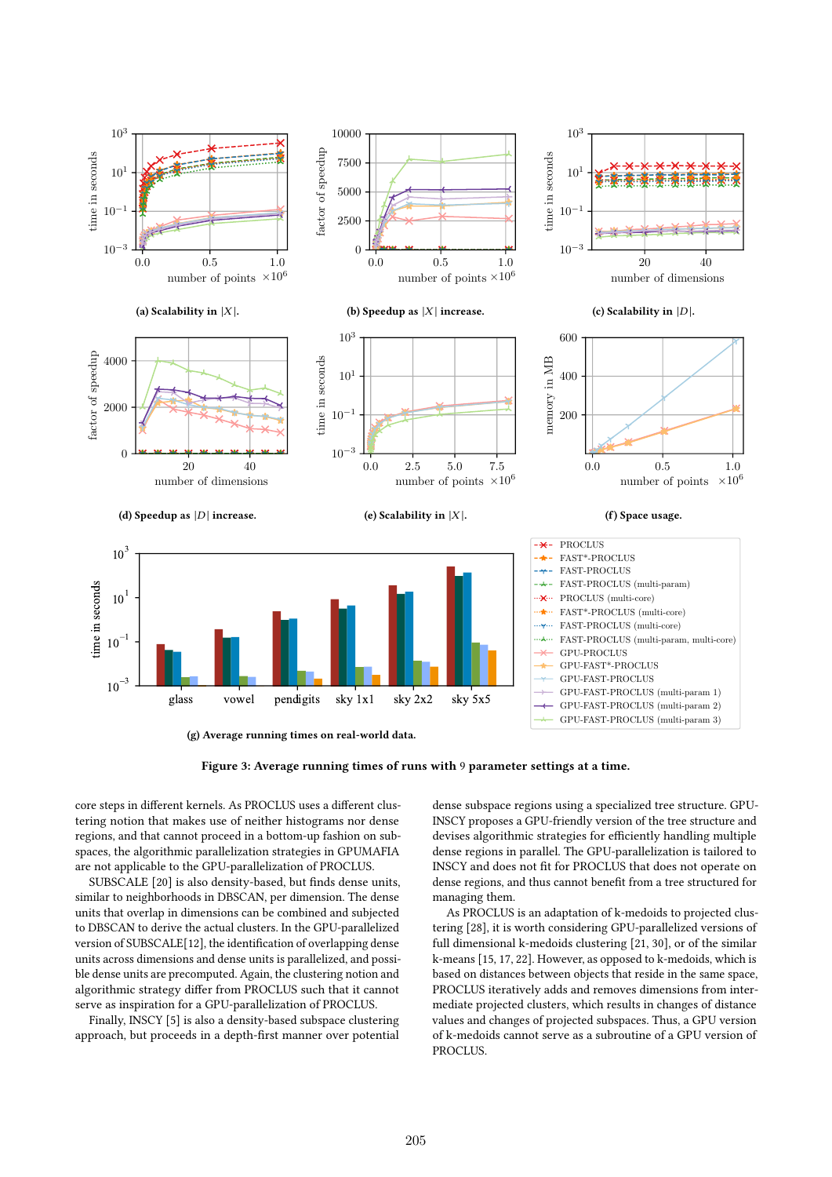



core steps in different kernels. As PROCLUS uses a different clustering notion that makes use of neither histograms nor dense regions, and that cannot proceed in a bottom-up fashion on subspaces, the algorithmic parallelization strategies in GPUMAFIA are not applicable to the GPU-parallelization of PROCLUS.

SUBSCALE [20] is also density-based, but finds dense units, similar to neighborhoods in DBSCAN, per dimension. The dense units that overlap in dimensions can be combined and subjected to DBSCAN to derive the actual clusters. In the GPU-parallelized version of SUBSCALE[12], the identification of overlapping dense units across dimensions and dense units is parallelized, and possible dense units are precomputed. Again, the clustering notion and algorithmic strategy differ from PROCLUS such that it cannot serve as inspiration for a GPU-parallelization of PROCLUS.

Finally, INSCY [5] is also a density-based subspace clustering approach, but proceeds in a depth-first manner over potential dense subspace regions using a specialized tree structure. GPU-INSCY proposes a GPU-friendly version of the tree structure and devises algorithmic strategies for efficiently handling multiple dense regions in parallel. The GPU-parallelization is tailored to INSCY and does not fit for PROCLUS that does not operate on dense regions, and thus cannot benefit from a tree structured for managing them.

As PROCLUS is an adaptation of k-medoids to projected clustering [28], it is worth considering GPU-parallelized versions of full dimensional k-medoids clustering [21, 30], or of the similar k-means [15, 17, 22]. However, as opposed to k-medoids, which is based on distances between objects that reside in the same space, PROCLUS iteratively adds and removes dimensions from intermediate projected clusters, which results in changes of distance values and changes of projected subspaces. Thus, a GPU version of k-medoids cannot serve as a subroutine of a GPU version of PROCLUS.